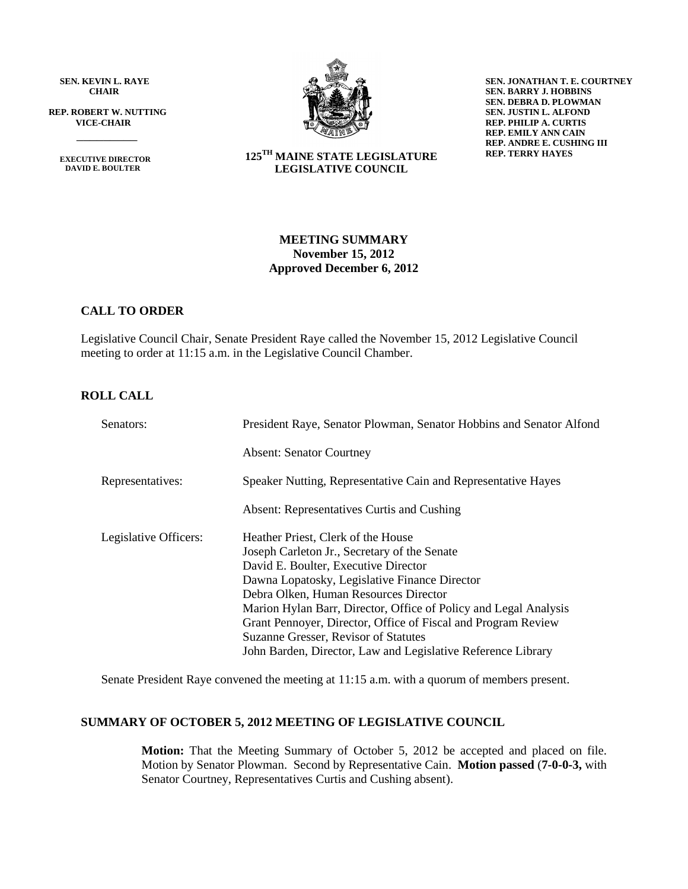**SEN. KEVIN L. RAYE CHAIR**

 **REP. ROBERT W. NUTTING VICE-CHAIR**

 **EXECUTIVE DIRECTOR DAVID E. BOULTER**

 $\frac{1}{\sqrt{2}}$ 



**SEN. JONATHAN T. E. COURTNEY SEN. BARRY J. HOBBINS SEN. DEBRA D. PLOWMAN SEN. JUSTIN L. ALFOND REP. PHILIP A. CURTIS REP. EMILY ANN CAIN REP. ANDRE E. CUSHING III REP. TERRY HAYES**

## **125 TH MAINE STATE LEGISLATURE LEGISLATIVE COUNCIL**

## **MEETING SUMMARY November 15, 2012 Approved December 6, 2012**

## **CALL TO ORDER**

Legislative Council Chair, Senate President Raye called the November 15, 2012 Legislative Council meeting to order at 11:15 a.m. in the Legislative Council Chamber.

## **ROLL CALL**

| Senators:             | President Raye, Senator Plowman, Senator Hobbins and Senator Alfond |  |  |  |  |
|-----------------------|---------------------------------------------------------------------|--|--|--|--|
|                       | <b>Absent: Senator Courtney</b>                                     |  |  |  |  |
| Representatives:      | Speaker Nutting, Representative Cain and Representative Hayes       |  |  |  |  |
|                       | Absent: Representatives Curtis and Cushing                          |  |  |  |  |
| Legislative Officers: | Heather Priest, Clerk of the House                                  |  |  |  |  |
|                       | Joseph Carleton Jr., Secretary of the Senate                        |  |  |  |  |
|                       | David E. Boulter, Executive Director                                |  |  |  |  |
|                       | Dawna Lopatosky, Legislative Finance Director                       |  |  |  |  |
|                       | Debra Olken, Human Resources Director                               |  |  |  |  |
|                       | Marion Hylan Barr, Director, Office of Policy and Legal Analysis    |  |  |  |  |
|                       | Grant Pennoyer, Director, Office of Fiscal and Program Review       |  |  |  |  |
|                       | Suzanne Gresser, Revisor of Statutes                                |  |  |  |  |
|                       | John Barden, Director, Law and Legislative Reference Library        |  |  |  |  |

Senate President Raye convened the meeting at 11:15 a.m. with a quorum of members present.

## **SUMMARY OF OCTOBER 5, 2012 MEETING OF LEGISLATIVE COUNCIL**

**Motion:** That the Meeting Summary of October 5, 2012 be accepted and placed on file. Motion by Senator Plowman. Second by Representative Cain. **Motion passed** (**7-0-0-3,** with Senator Courtney, Representatives Curtis and Cushing absent).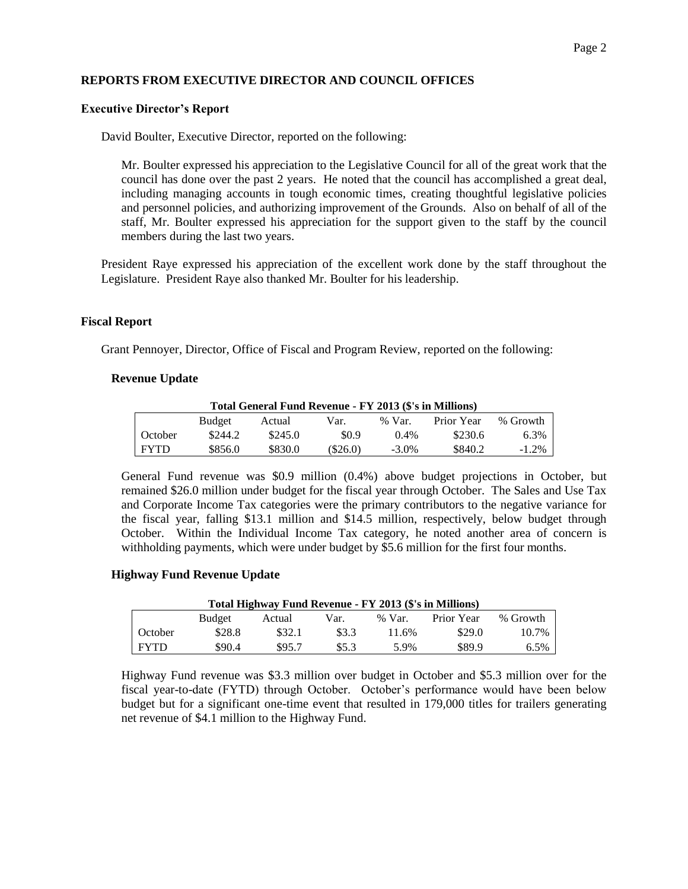## **REPORTS FROM EXECUTIVE DIRECTOR AND COUNCIL OFFICES**

## **Executive Director's Report**

David Boulter, Executive Director, reported on the following:

Mr. Boulter expressed his appreciation to the Legislative Council for all of the great work that the council has done over the past 2 years. He noted that the council has accomplished a great deal, including managing accounts in tough economic times, creating thoughtful legislative policies and personnel policies, and authorizing improvement of the Grounds. Also on behalf of all of the staff, Mr. Boulter expressed his appreciation for the support given to the staff by the council members during the last two years.

President Raye expressed his appreciation of the excellent work done by the staff throughout the Legislature. President Raye also thanked Mr. Boulter for his leadership.

#### **Fiscal Report**

Grant Pennoyer, Director, Office of Fiscal and Program Review, reported on the following:

#### **Revenue Update**

| Total General Fund Revenue - FY 2013 (\$'s in Millions) |         |         |            |          |            |          |  |  |  |
|---------------------------------------------------------|---------|---------|------------|----------|------------|----------|--|--|--|
|                                                         | Budget  | Actual  | Var.       | $%$ Var. | Prior Year | % Growth |  |  |  |
| October                                                 | \$244.2 | \$245.0 | \$0.9      | 0.4%     | \$230.6    | 6.3%     |  |  |  |
| <b>FYTD</b>                                             | \$856.0 | \$830.0 | $(\$26.0)$ | $-3.0\%$ | \$840.2    | $-1.2\%$ |  |  |  |

General Fund revenue was \$0.9 million (0.4%) above budget projections in October, but remained \$26.0 million under budget for the fiscal year through October. The Sales and Use Tax and Corporate Income Tax categories were the primary contributors to the negative variance for the fiscal year, falling \$13.1 million and \$14.5 million, respectively, below budget through October. Within the Individual Income Tax category, he noted another area of concern is withholding payments, which were under budget by \$5.6 million for the first four months.

## **Highway Fund Revenue Update**

| Total Highway Fund Revenue - FY 2013 (\$'s in Millions) |        |        |       |          |            |          |  |  |
|---------------------------------------------------------|--------|--------|-------|----------|------------|----------|--|--|
|                                                         | Budget | Actual | Var.  | $%$ Var. | Prior Year | % Growth |  |  |
| October                                                 | \$28.8 | \$32.1 | \$3.3 | 11.6%    | \$29.0     | 10.7%    |  |  |
| <b>FYTD</b>                                             | \$90.4 | \$95.7 | \$5.3 | 5.9%     | \$89.9     | $6.5\%$  |  |  |

Highway Fund revenue was \$3.3 million over budget in October and \$5.3 million over for the fiscal year-to-date (FYTD) through October. October's performance would have been below budget but for a significant one-time event that resulted in 179,000 titles for trailers generating net revenue of \$4.1 million to the Highway Fund.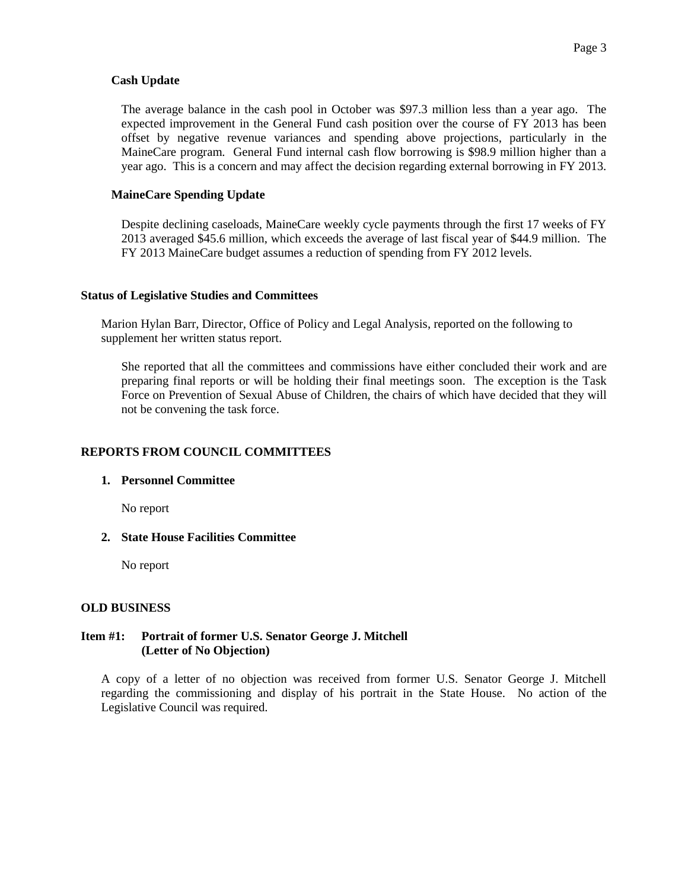## **Cash Update**

The average balance in the cash pool in October was \$97.3 million less than a year ago. The expected improvement in the General Fund cash position over the course of FY 2013 has been offset by negative revenue variances and spending above projections, particularly in the MaineCare program. General Fund internal cash flow borrowing is \$98.9 million higher than a year ago. This is a concern and may affect the decision regarding external borrowing in FY 2013.

## **MaineCare Spending Update**

Despite declining caseloads, MaineCare weekly cycle payments through the first 17 weeks of FY 2013 averaged \$45.6 million, which exceeds the average of last fiscal year of \$44.9 million. The FY 2013 MaineCare budget assumes a reduction of spending from FY 2012 levels.

#### **Status of Legislative Studies and Committees**

Marion Hylan Barr, Director, Office of Policy and Legal Analysis, reported on the following to supplement her written status report.

She reported that all the committees and commissions have either concluded their work and are preparing final reports or will be holding their final meetings soon. The exception is the Task Force on Prevention of Sexual Abuse of Children, the chairs of which have decided that they will not be convening the task force.

## **REPORTS FROM COUNCIL COMMITTEES**

## **1. Personnel Committee**

No report

**2. State House Facilities Committee**

No report

## **OLD BUSINESS**

## **Item #1: Portrait of former U.S. Senator George J. Mitchell (Letter of No Objection)**

A copy of a letter of no objection was received from former U.S. Senator George J. Mitchell regarding the commissioning and display of his portrait in the State House. No action of the Legislative Council was required.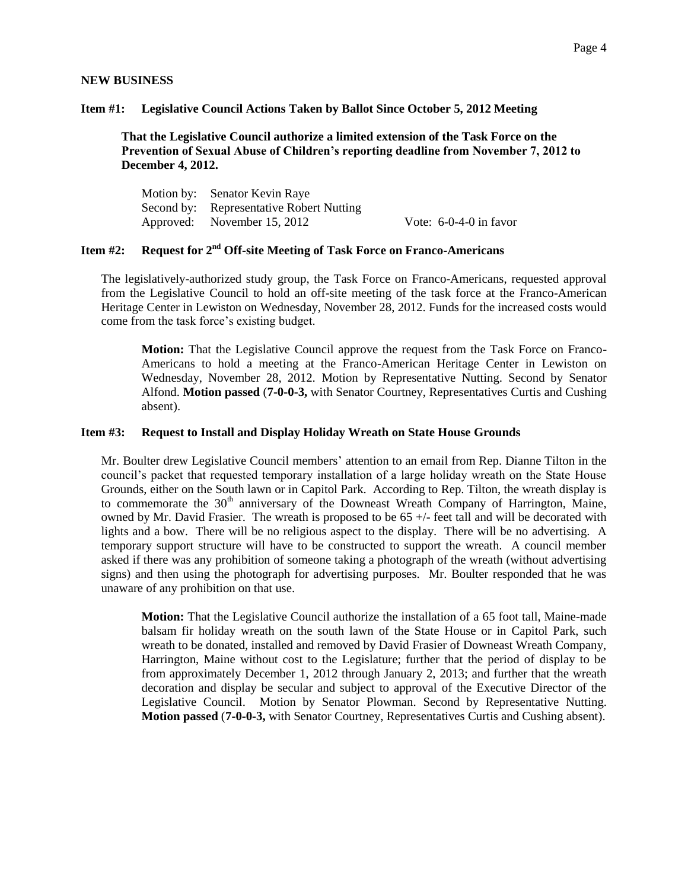#### **NEW BUSINESS**

#### **Item #1: Legislative Council Actions Taken by Ballot Since October 5, 2012 Meeting**

**That the Legislative Council authorize a limited extension of the Task Force on the Prevention of Sexual Abuse of Children's reporting deadline from November 7, 2012 to December 4, 2012.**

Motion by: Senator Kevin Raye Second by: Representative Robert Nutting Approved: November 15, 2012 Vote: 6-0-4-0 in favor

# **Item #2: Request for 2nd Off-site Meeting of Task Force on Franco-Americans**

The legislatively-authorized study group, the Task Force on Franco-Americans, requested approval from the Legislative Council to hold an off-site meeting of the task force at the Franco-American Heritage Center in Lewiston on Wednesday, November 28, 2012. Funds for the increased costs would come from the task force's existing budget.

**Motion:** That the Legislative Council approve the request from the Task Force on Franco-Americans to hold a meeting at the Franco-American Heritage Center in Lewiston on Wednesday, November 28, 2012. Motion by Representative Nutting. Second by Senator Alfond. **Motion passed** (**7-0-0-3,** with Senator Courtney, Representatives Curtis and Cushing absent).

#### **Item #3: Request to Install and Display Holiday Wreath on State House Grounds**

Mr. Boulter drew Legislative Council members' attention to an email from Rep. Dianne Tilton in the council's packet that requested temporary installation of a large holiday wreath on the State House Grounds, either on the South lawn or in Capitol Park. According to Rep. Tilton, the wreath display is to commemorate the  $30<sup>th</sup>$  anniversary of the Downeast Wreath Company of Harrington, Maine, owned by Mr. David Frasier. The wreath is proposed to be 65 +/- feet tall and will be decorated with lights and a bow. There will be no religious aspect to the display. There will be no advertising. A temporary support structure will have to be constructed to support the wreath. A council member asked if there was any prohibition of someone taking a photograph of the wreath (without advertising signs) and then using the photograph for advertising purposes. Mr. Boulter responded that he was unaware of any prohibition on that use.

**Motion:** That the Legislative Council authorize the installation of a 65 foot tall, Maine-made balsam fir holiday wreath on the south lawn of the State House or in Capitol Park, such wreath to be donated, installed and removed by David Frasier of Downeast Wreath Company, Harrington, Maine without cost to the Legislature; further that the period of display to be from approximately December 1, 2012 through January 2, 2013; and further that the wreath decoration and display be secular and subject to approval of the Executive Director of the Legislative Council. Motion by Senator Plowman. Second by Representative Nutting. **Motion passed** (**7-0-0-3,** with Senator Courtney, Representatives Curtis and Cushing absent).